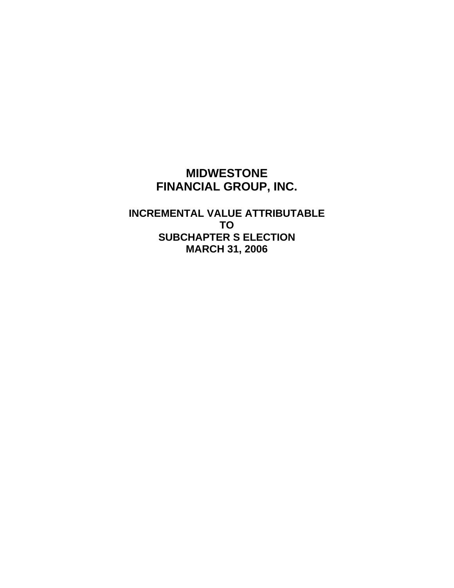## **MIDWESTONE FINANCIAL GROUP, INC.**

**INCREMENTAL VALUE ATTRIBUTABLE TO SUBCHAPTER S ELECTION MARCH 31, 2006**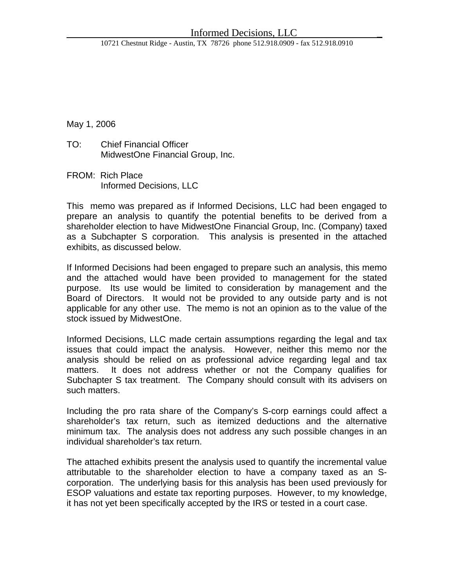10721 Chestnut Ridge - Austin, TX 78726 phone 512.918.0909 - fax 512.918.0910

May 1, 2006

- TO: Chief Financial Officer MidwestOne Financial Group, Inc.
- FROM: Rich Place Informed Decisions, LLC

This memo was prepared as if Informed Decisions, LLC had been engaged to prepare an analysis to quantify the potential benefits to be derived from a shareholder election to have MidwestOne Financial Group, Inc. (Company) taxed as a Subchapter S corporation. This analysis is presented in the attached exhibits, as discussed below.

If Informed Decisions had been engaged to prepare such an analysis, this memo and the attached would have been provided to management for the stated purpose. Its use would be limited to consideration by management and the Board of Directors. It would not be provided to any outside party and is not applicable for any other use. The memo is not an opinion as to the value of the stock issued by MidwestOne.

Informed Decisions, LLC made certain assumptions regarding the legal and tax issues that could impact the analysis. However, neither this memo nor the analysis should be relied on as professional advice regarding legal and tax matters. It does not address whether or not the Company qualifies for Subchapter S tax treatment. The Company should consult with its advisers on such matters.

Including the pro rata share of the Company's S-corp earnings could affect a shareholder's tax return, such as itemized deductions and the alternative minimum tax. The analysis does not address any such possible changes in an individual shareholder's tax return.

The attached exhibits present the analysis used to quantify the incremental value attributable to the shareholder election to have a company taxed as an Scorporation. The underlying basis for this analysis has been used previously for ESOP valuations and estate tax reporting purposes. However, to my knowledge, it has not yet been specifically accepted by the IRS or tested in a court case.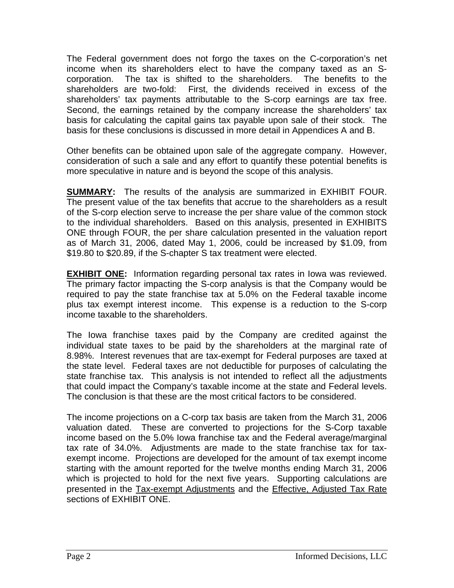The Federal government does not forgo the taxes on the C-corporation's net income when its shareholders elect to have the company taxed as an Scorporation. The tax is shifted to the shareholders. The benefits to the shareholders are two-fold: First, the dividends received in excess of the shareholders' tax payments attributable to the S-corp earnings are tax free. Second, the earnings retained by the company increase the shareholders' tax basis for calculating the capital gains tax payable upon sale of their stock. The basis for these conclusions is discussed in more detail in Appendices A and B.

Other benefits can be obtained upon sale of the aggregate company. However, consideration of such a sale and any effort to quantify these potential benefits is more speculative in nature and is beyond the scope of this analysis.

**SUMMARY:** The results of the analysis are summarized in EXHIBIT FOUR. The present value of the tax benefits that accrue to the shareholders as a result of the S-corp election serve to increase the per share value of the common stock to the individual shareholders. Based on this analysis, presented in EXHIBITS ONE through FOUR, the per share calculation presented in the valuation report as of March 31, 2006, dated May 1, 2006, could be increased by \$1.09, from \$19.80 to \$20.89, if the S-chapter S tax treatment were elected.

**EXHIBIT ONE:** Information regarding personal tax rates in Iowa was reviewed. The primary factor impacting the S-corp analysis is that the Company would be required to pay the state franchise tax at 5.0% on the Federal taxable income plus tax exempt interest income. This expense is a reduction to the S-corp income taxable to the shareholders.

The Iowa franchise taxes paid by the Company are credited against the individual state taxes to be paid by the shareholders at the marginal rate of 8.98%. Interest revenues that are tax-exempt for Federal purposes are taxed at the state level. Federal taxes are not deductible for purposes of calculating the state franchise tax. This analysis is not intended to reflect all the adjustments that could impact the Company's taxable income at the state and Federal levels. The conclusion is that these are the most critical factors to be considered.

The income projections on a C-corp tax basis are taken from the March 31, 2006 valuation dated. These are converted to projections for the S-Corp taxable income based on the 5.0% Iowa franchise tax and the Federal average/marginal tax rate of 34.0%. Adjustments are made to the state franchise tax for taxexempt income. Projections are developed for the amount of tax exempt income starting with the amount reported for the twelve months ending March 31, 2006 which is projected to hold for the next five years. Supporting calculations are presented in the Tax-exempt Adjustments and the Effective, Adjusted Tax Rate sections of EXHIBIT ONE.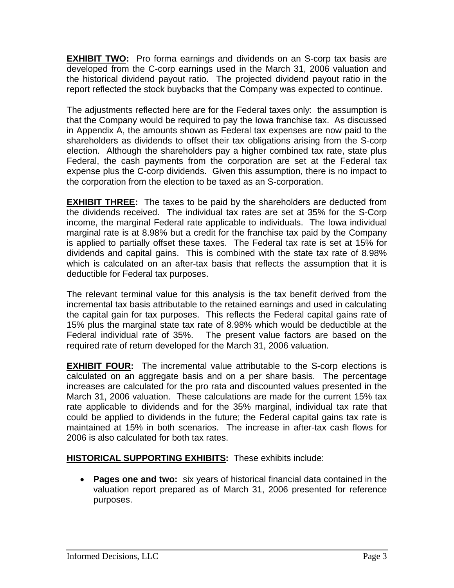**EXHIBIT TWO:** Pro forma earnings and dividends on an S-corp tax basis are developed from the C-corp earnings used in the March 31, 2006 valuation and the historical dividend payout ratio. The projected dividend payout ratio in the report reflected the stock buybacks that the Company was expected to continue.

The adjustments reflected here are for the Federal taxes only: the assumption is that the Company would be required to pay the Iowa franchise tax. As discussed in Appendix A, the amounts shown as Federal tax expenses are now paid to the shareholders as dividends to offset their tax obligations arising from the S-corp election. Although the shareholders pay a higher combined tax rate, state plus Federal, the cash payments from the corporation are set at the Federal tax expense plus the C-corp dividends. Given this assumption, there is no impact to the corporation from the election to be taxed as an S-corporation.

**EXHIBIT THREE:** The taxes to be paid by the shareholders are deducted from the dividends received. The individual tax rates are set at 35% for the S-Corp income, the marginal Federal rate applicable to individuals. The Iowa individual marginal rate is at 8.98% but a credit for the franchise tax paid by the Company is applied to partially offset these taxes. The Federal tax rate is set at 15% for dividends and capital gains. This is combined with the state tax rate of 8.98% which is calculated on an after-tax basis that reflects the assumption that it is deductible for Federal tax purposes.

The relevant terminal value for this analysis is the tax benefit derived from the incremental tax basis attributable to the retained earnings and used in calculating the capital gain for tax purposes. This reflects the Federal capital gains rate of 15% plus the marginal state tax rate of 8.98% which would be deductible at the Federal individual rate of 35%. The present value factors are based on the required rate of return developed for the March 31, 2006 valuation.

**EXHIBIT FOUR:** The incremental value attributable to the S-corp elections is calculated on an aggregate basis and on a per share basis. The percentage increases are calculated for the pro rata and discounted values presented in the March 31, 2006 valuation. These calculations are made for the current 15% tax rate applicable to dividends and for the 35% marginal, individual tax rate that could be applied to dividends in the future; the Federal capital gains tax rate is maintained at 15% in both scenarios. The increase in after-tax cash flows for 2006 is also calculated for both tax rates.

### **HISTORICAL SUPPORTING EXHIBITS:** These exhibits include:

• **Pages one and two:** six years of historical financial data contained in the valuation report prepared as of March 31, 2006 presented for reference purposes.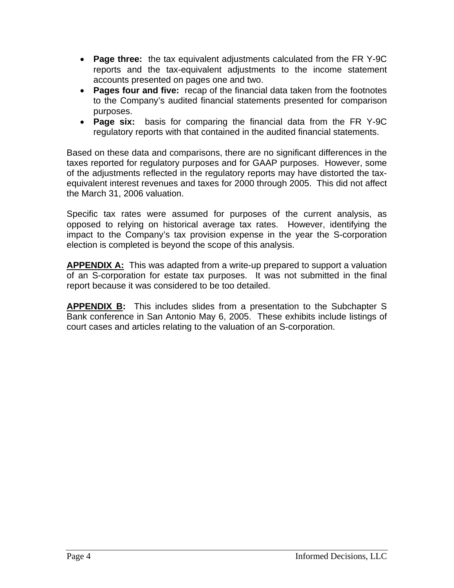- **Page three:** the tax equivalent adjustments calculated from the FR Y-9C reports and the tax-equivalent adjustments to the income statement accounts presented on pages one and two.
- **Pages four and five:** recap of the financial data taken from the footnotes to the Company's audited financial statements presented for comparison purposes.
- **Page six:** basis for comparing the financial data from the FR Y-9C regulatory reports with that contained in the audited financial statements.

Based on these data and comparisons, there are no significant differences in the taxes reported for regulatory purposes and for GAAP purposes. However, some of the adjustments reflected in the regulatory reports may have distorted the taxequivalent interest revenues and taxes for 2000 through 2005. This did not affect the March 31, 2006 valuation.

Specific tax rates were assumed for purposes of the current analysis, as opposed to relying on historical average tax rates. However, identifying the impact to the Company's tax provision expense in the year the S-corporation election is completed is beyond the scope of this analysis.

**APPENDIX A:** This was adapted from a write-up prepared to support a valuation of an S-corporation for estate tax purposes. It was not submitted in the final report because it was considered to be too detailed.

**APPENDIX B:** This includes slides from a presentation to the Subchapter S Bank conference in San Antonio May 6, 2005. These exhibits include listings of court cases and articles relating to the valuation of an S-corporation.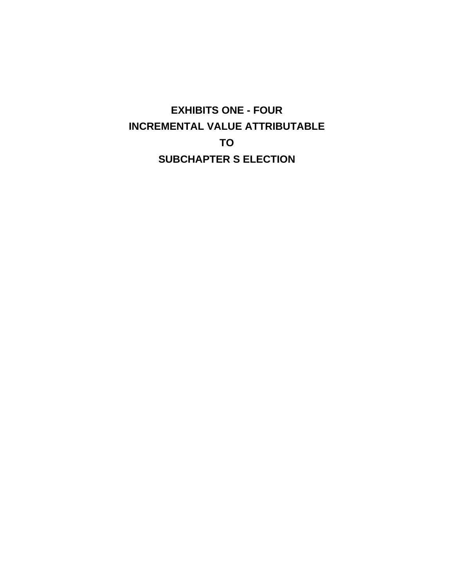**EXHIBITS ONE - FOUR INCREMENTAL VALUE ATTRIBUTABLE TO SUBCHAPTER S ELECTION**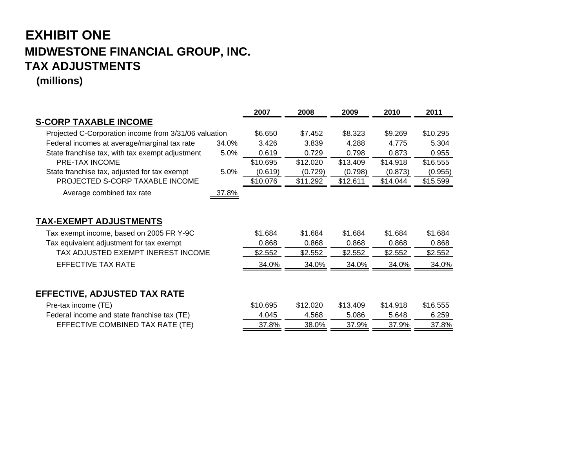## **EXHIBIT ONE MIDWESTONE FINANCIAL GROUP, INC. TAX ADJUSTMENTS**

**(millions)**

|                                                       |       | 2007     | 2008     | 2009     | 2010     | 2011     |
|-------------------------------------------------------|-------|----------|----------|----------|----------|----------|
| <b>S-CORP TAXABLE INCOME</b>                          |       |          |          |          |          |          |
| Projected C-Corporation income from 3/31/06 valuation |       | \$6.650  | \$7.452  | \$8.323  | \$9.269  | \$10.295 |
| Federal incomes at average/marginal tax rate          | 34.0% | 3.426    | 3.839    | 4.288    | 4.775    | 5.304    |
| State franchise tax, with tax exempt adjustment       | 5.0%  | 0.619    | 0.729    | 0.798    | 0.873    | 0.955    |
| <b>PRE-TAX INCOME</b>                                 |       | \$10.695 | \$12.020 | \$13.409 | \$14.918 | \$16.555 |
| State franchise tax, adjusted for tax exempt          | 5.0%  | (0.619)  | (0.729)  | (0.798)  | (0.873)  | (0.955)  |
| PROJECTED S-CORP TAXABLE INCOME                       |       | \$10.076 | \$11.292 | \$12.611 | \$14.044 | \$15.599 |
| Average combined tax rate                             | 37.8% |          |          |          |          |          |
|                                                       |       |          |          |          |          |          |
| <b>TAX-EXEMPT ADJUSTMENTS</b>                         |       |          |          |          |          |          |
| Tax exempt income, based on 2005 FR Y-9C              |       | \$1.684  | \$1.684  | \$1.684  | \$1.684  | \$1.684  |
| Tax equivalent adjustment for tax exempt              |       | 0.868    | 0.868    | 0.868    | 0.868    | 0.868    |
| TAX ADJUSTED EXEMPT INEREST INCOME                    |       | \$2.552  | \$2.552  | \$2.552  | \$2.552  | \$2.552  |
| EFFECTIVE TAX RATE                                    |       | 34.0%    | 34.0%    | 34.0%    | 34.0%    | 34.0%    |
|                                                       |       |          |          |          |          |          |
| EFFECTIVE, ADJUSTED TAX RATE                          |       |          |          |          |          |          |
| Pre-tax income (TE)                                   |       | \$10.695 | \$12.020 | \$13.409 | \$14.918 | \$16.555 |
| Federal income and state franchise tax (TE)           |       | 4.045    | 4.568    | 5.086    | 5.648    | 6.259    |
| EFFECTIVE COMBINED TAX RATE (TE)                      |       | 37.8%    | 38.0%    | 37.9%    | 37.9%    | 37.8%    |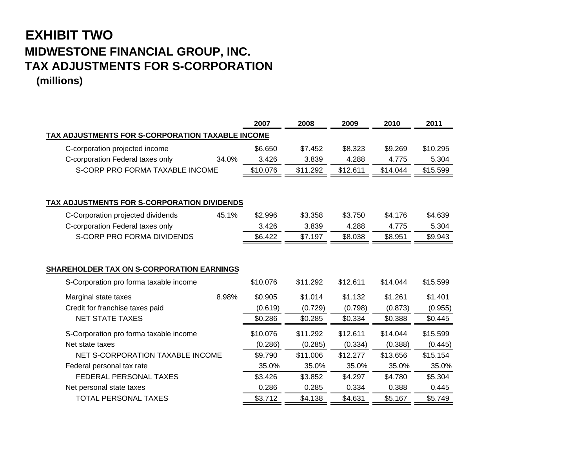## **EXHIBIT TWO MIDWESTONE FINANCIAL GROUP, INC. TAX ADJUSTMENTS FOR S-CORPORATION (millions)**

|                                                  | 2007     | 2008     | 2009     | 2010     | 2011     |
|--------------------------------------------------|----------|----------|----------|----------|----------|
| TAX ADJUSTMENTS FOR S-CORPORATION TAXABLE INCOME |          |          |          |          |          |
| C-corporation projected income                   | \$6.650  | \$7.452  | \$8.323  | \$9.269  | \$10.295 |
| C-corporation Federal taxes only<br>34.0%        | 3.426    | 3.839    | 4.288    | 4.775    | 5.304    |
| S-CORP PRO FORMA TAXABLE INCOME                  | \$10.076 | \$11.292 | \$12.611 | \$14.044 | \$15.599 |
|                                                  |          |          |          |          |          |
| TAX ADJUSTMENTS FOR S-CORPORATION DIVIDENDS      |          |          |          |          |          |
| 45.1%<br>C-Corporation projected dividends       | \$2.996  | \$3.358  | \$3.750  | \$4.176  | \$4.639  |
| C-corporation Federal taxes only                 | 3.426    | 3.839    | 4.288    | 4.775    | 5.304    |
| S-CORP PRO FORMA DIVIDENDS                       | \$6.422  | \$7.197  | \$8.038  | \$8.951  | \$9.943  |
|                                                  |          |          |          |          |          |
|                                                  |          |          |          |          |          |
| <b>SHAREHOLDER TAX ON S-CORPORATION EARNINGS</b> |          |          |          |          |          |
| S-Corporation pro forma taxable income           | \$10.076 | \$11.292 | \$12.611 | \$14.044 | \$15.599 |
| 8.98%<br>Marginal state taxes                    | \$0.905  | \$1.014  | \$1.132  | \$1.261  | \$1.401  |
| Credit for franchise taxes paid                  | (0.619)  | (0.729)  | (0.798)  | (0.873)  | (0.955)  |
| <b>NET STATE TAXES</b>                           | \$0.286  | \$0.285  | \$0.334  | \$0.388  | \$0.445  |
| S-Corporation pro forma taxable income           | \$10.076 | \$11.292 | \$12.611 | \$14.044 | \$15.599 |
| Net state taxes                                  | (0.286)  | (0.285)  | (0.334)  | (0.388)  | (0.445)  |
| NET S-CORPORATION TAXABLE INCOME                 | \$9.790  | \$11.006 | \$12.277 | \$13.656 | \$15.154 |
| Federal personal tax rate                        | 35.0%    | 35.0%    | 35.0%    | 35.0%    | 35.0%    |
| FEDERAL PERSONAL TAXES                           | \$3.426  | \$3.852  | \$4.297  | \$4.780  | \$5.304  |
| Net personal state taxes                         | 0.286    | 0.285    | 0.334    | 0.388    | 0.445    |
| <b>TOTAL PERSONAL TAXES</b>                      | \$3.712  | \$4.138  | \$4.631  | \$5.167  | \$5.749  |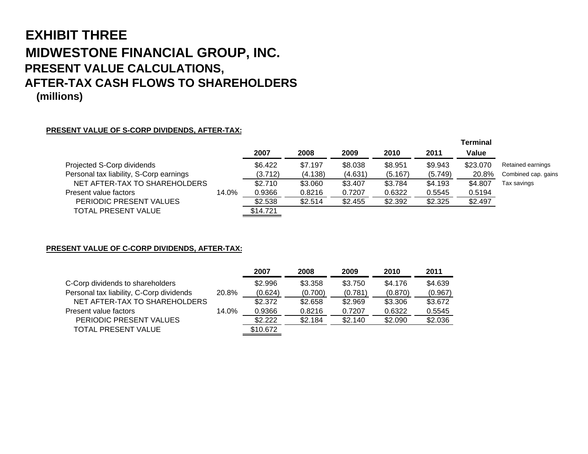## **EXHIBIT THREEMIDWESTONE FINANCIAL GROUP, INC. PRESENT VALUE CALCULATIONS, AFTER-TAX CASH FLOWS TO SHAREHOLDERS (millions)**

#### **PRESENT VALUE OF S-CORP DIVIDENDS, AFTER-TAX:**

|                                         |       |          |         |         |         |         | Terminal |                     |
|-----------------------------------------|-------|----------|---------|---------|---------|---------|----------|---------------------|
|                                         |       | 2007     | 2008    | 2009    | 2010    | 2011    | Value    |                     |
| Projected S-Corp dividends              |       | \$6.422  | \$7.197 | \$8.038 | \$8.951 | \$9.943 | \$23.070 | Retained earnings   |
| Personal tax liability, S-Corp earnings |       | (3.712)  | (4.138) | (4.631) | (5.167) | (5.749) | 20.8%    | Combined cap. gains |
| NET AFTER-TAX TO SHAREHOLDERS           |       | \$2.710  | \$3.060 | \$3.407 | \$3.784 | \$4.193 | \$4.807  | Tax savings         |
| Present value factors                   | 14.0% | 0.9366   | 0.8216  | 0.7207  | 0.6322  | 0.5545  | 0.5194   |                     |
| PERIODIC PRESENT VALUES                 |       | \$2.538  | \$2.514 | \$2.455 | \$2.392 | \$2.325 | \$2.497  |                     |
| TOTAL PRESENT VALUE                     |       | \$14.721 |         |         |         |         |          |                     |
|                                         |       |          |         |         |         |         |          |                     |

**PRESENT VALUE OF C-CORP DIVIDENDS, AFTER-TAX:**

|                                          |       | 2007     | 2008    | 2009    | 2010    | 2011    |
|------------------------------------------|-------|----------|---------|---------|---------|---------|
| C-Corp dividends to shareholders         |       | \$2.996  | \$3.358 | \$3.750 | \$4.176 | \$4.639 |
| Personal tax liability, C-Corp dividends | 20.8% | (0.624)  | (0.700) | (0.781) | (0.870) | (0.967) |
| NET AFTER-TAX TO SHAREHOLDERS            |       | \$2.372  | \$2.658 | \$2.969 | \$3.306 | \$3.672 |
| Present value factors                    | 14.0% | 0.9366   | 0.8216  | 0.7207  | 0.6322  | 0.5545  |
| PERIODIC PRESENT VALUES                  |       | \$2.222  | \$2.184 | \$2.140 | \$2.090 | \$2.036 |
| <b>TOTAL PRESENT VALUE</b>               |       | \$10.672 |         |         |         |         |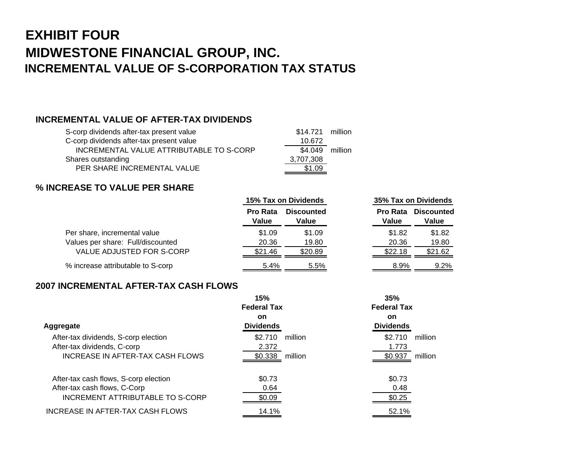# **EXHIBIT FOURMIDWESTONE FINANCIAL GROUP, INC. INCREMENTAL VALUE OF S-CORPORATION TAX STATUS**

#### **INCREMENTAL VALUE OF AFTER-TAX DIVIDENDS**

| S-corp dividends after-tax present value | \$14.721 million |  |
|------------------------------------------|------------------|--|
| C-corp dividends after-tax present value | 10.672           |  |
| INCREMENTAL VALUE ATTRIBUTABLE TO S-CORP | \$4.049 million  |  |
| Shares outstanding                       | 3,707,308        |  |
| PER SHARE INCREMENTAL VALUE              | \$1.09           |  |

### **% INCREASE TO VALUE PER SHARE**

|                                   |                          | 15% Tax on Dividends       |                          | 35% Tax on Dividends       |  |
|-----------------------------------|--------------------------|----------------------------|--------------------------|----------------------------|--|
|                                   | <b>Pro Rata</b><br>Value | <b>Discounted</b><br>Value | <b>Pro Rata</b><br>Value | <b>Discounted</b><br>Value |  |
| Per share, incremental value      | \$1.09                   | \$1.09                     | \$1.82                   | \$1.82                     |  |
| Values per share: Full/discounted | 20.36                    | 19.80                      | 20.36                    | 19.80                      |  |
| VALUE ADJUSTED FOR S-CORP         | \$21.46                  | \$20.89                    | \$22.18                  | \$21.62                    |  |
| % increase attributable to S-corp | 5.4%                     | 5.5%                       | 8.9%                     | 9.2%                       |  |

#### **2007 INCREMENTAL AFTER-TAX CASH FLOWS**

|                                       | 15%<br><b>Federal Tax</b> |         | 35%<br><b>Federal Tax</b> |         |
|---------------------------------------|---------------------------|---------|---------------------------|---------|
|                                       | <b>on</b>                 |         | on                        |         |
| Aggregate                             | <b>Dividends</b>          |         | <b>Dividends</b>          |         |
| After-tax dividends, S-corp election  | \$2.710                   | million | \$2.710                   | million |
| After-tax dividends, C-corp           | 2.372                     |         | 1.773                     |         |
| INCREASE IN AFTER-TAX CASH FLOWS      | \$0.338                   | million | \$0.937                   | million |
| After-tax cash flows, S-corp election | \$0.73                    |         | \$0.73                    |         |
| After-tax cash flows, C-Corp          | 0.64                      |         | 0.48                      |         |
| INCREMENT ATTRIBUTABLE TO S-CORP      | \$0.09                    |         | \$0.25                    |         |
| INCREASE IN AFTER-TAX CASH FLOWS      | 14.1%                     |         | 52.1%                     |         |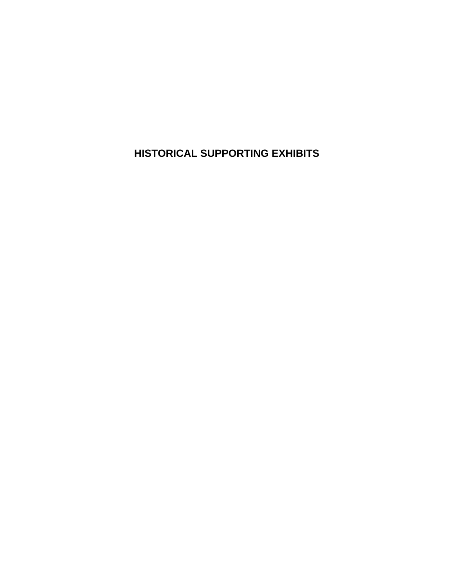**HISTORICAL SUPPORTING EXHIBITS**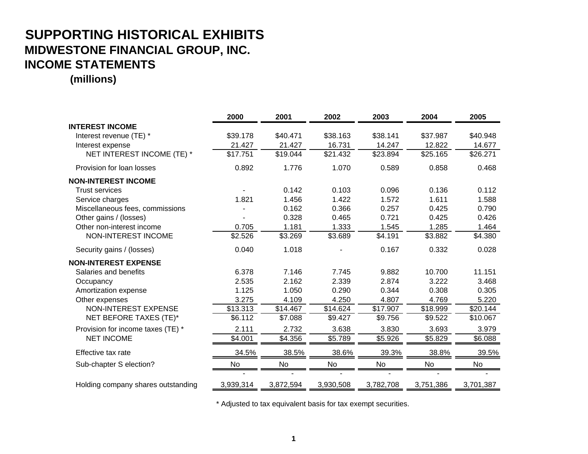## **SUPPORTING HISTORICAL EXHIBITS MIDWESTONE FINANCIAL GROUP, INC. INCOME STATEMENTS**

**(millions)**

|                                    | 2000      | 2001      | 2002      | 2003      | 2004      | 2005      |
|------------------------------------|-----------|-----------|-----------|-----------|-----------|-----------|
| <b>INTEREST INCOME</b>             |           |           |           |           |           |           |
| Interest revenue (TE) *            | \$39.178  | \$40.471  | \$38.163  | \$38.141  | \$37.987  | \$40.948  |
| Interest expense                   | 21.427    | 21.427    | 16.731    | 14.247    | 12.822    | 14.677    |
| NET INTEREST INCOME (TE) *         | \$17.751  | \$19.044  | \$21.432  | \$23.894  | \$25.165  | \$26.271  |
| Provision for loan losses          | 0.892     | 1.776     | 1.070     | 0.589     | 0.858     | 0.468     |
| <b>NON-INTEREST INCOME</b>         |           |           |           |           |           |           |
| <b>Trust services</b>              |           | 0.142     | 0.103     | 0.096     | 0.136     | 0.112     |
| Service charges                    | 1.821     | 1.456     | 1.422     | 1.572     | 1.611     | 1.588     |
| Miscellaneous fees, commissions    |           | 0.162     | 0.366     | 0.257     | 0.425     | 0.790     |
| Other gains / (losses)             |           | 0.328     | 0.465     | 0.721     | 0.425     | 0.426     |
| Other non-interest income          | 0.705     | 1.181     | 1.333     | 1.545     | 1.285     | 1.464     |
| NON-INTEREST INCOME                | \$2.526   | \$3.269   | \$3.689   | \$4.191   | \$3.882   | \$4.380   |
| Security gains / (losses)          | 0.040     | 1.018     |           | 0.167     | 0.332     | 0.028     |
| <b>NON-INTEREST EXPENSE</b>        |           |           |           |           |           |           |
| Salaries and benefits              | 6.378     | 7.146     | 7.745     | 9.882     | 10.700    | 11.151    |
| Occupancy                          | 2.535     | 2.162     | 2.339     | 2.874     | 3.222     | 3.468     |
| Amortization expense               | 1.125     | 1.050     | 0.290     | 0.344     | 0.308     | 0.305     |
| Other expenses                     | 3.275     | 4.109     | 4.250     | 4.807     | 4.769     | 5.220     |
| <b>NON-INTEREST EXPENSE</b>        | \$13.313  | \$14.467  | \$14.624  | \$17.907  | \$18.999  | \$20.144  |
| NET BEFORE TAXES (TE)*             | \$6.112   | \$7.088   | \$9.427   | \$9.756   | \$9.522   | \$10.067  |
| Provision for income taxes (TE) *  | 2.111     | 2.732     | 3.638     | 3.830     | 3.693     | 3.979     |
| <b>NET INCOME</b>                  | \$4.001   | \$4.356   | \$5.789   | \$5.926   | \$5.829   | \$6.088   |
| Effective tax rate                 | 34.5%     | 38.5%     | 38.6%     | 39.3%     | 38.8%     | 39.5%     |
| Sub-chapter S election?            | No        | No        | No        | No        | No        | No        |
|                                    |           |           |           |           |           |           |
| Holding company shares outstanding | 3,939,314 | 3,872,594 | 3,930,508 | 3,782,708 | 3,751,386 | 3,701,387 |

\* Adjusted to tax equivalent basis for tax exempt securities.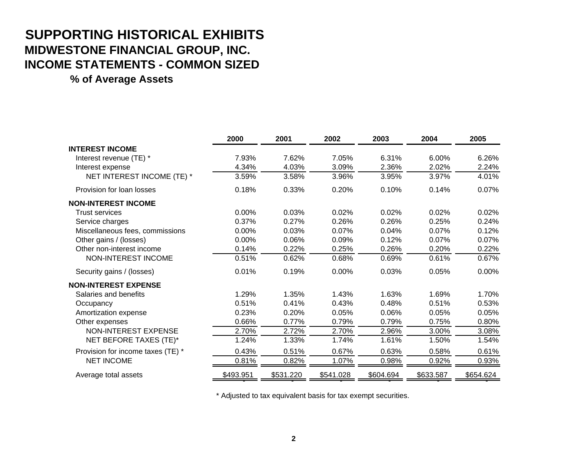# **SUPPORTING HISTORICAL EXHIBITS MIDWESTONE FINANCIAL GROUP, INC. INCOME STATEMENTS - COMMON SIZED**

**% of Average Assets**

|                                   | 2000      | 2001      | 2002      | 2003      | 2004      | 2005      |
|-----------------------------------|-----------|-----------|-----------|-----------|-----------|-----------|
| <b>INTEREST INCOME</b>            |           |           |           |           |           |           |
| Interest revenue (TE) *           | 7.93%     | 7.62%     | 7.05%     | 6.31%     | 6.00%     | 6.26%     |
| Interest expense                  | 4.34%     | 4.03%     | 3.09%     | 2.36%     | 2.02%     | 2.24%     |
| NET INTEREST INCOME (TE) *        | 3.59%     | 3.58%     | 3.96%     | 3.95%     | 3.97%     | 4.01%     |
| Provision for loan losses         | 0.18%     | 0.33%     | 0.20%     | 0.10%     | 0.14%     | 0.07%     |
| <b>NON-INTEREST INCOME</b>        |           |           |           |           |           |           |
| <b>Trust services</b>             | 0.00%     | 0.03%     | 0.02%     | 0.02%     | 0.02%     | 0.02%     |
| Service charges                   | 0.37%     | 0.27%     | 0.26%     | 0.26%     | 0.25%     | 0.24%     |
| Miscellaneous fees, commissions   | 0.00%     | 0.03%     | 0.07%     | 0.04%     | 0.07%     | 0.12%     |
| Other gains / (losses)            | 0.00%     | 0.06%     | 0.09%     | 0.12%     | 0.07%     | 0.07%     |
| Other non-interest income         | 0.14%     | 0.22%     | 0.25%     | 0.26%     | 0.20%     | 0.22%     |
| <b>NON-INTEREST INCOME</b>        | 0.51%     | 0.62%     | 0.68%     | 0.69%     | 0.61%     | 0.67%     |
| Security gains / (losses)         | 0.01%     | 0.19%     | 0.00%     | 0.03%     | 0.05%     | 0.00%     |
| <b>NON-INTEREST EXPENSE</b>       |           |           |           |           |           |           |
| Salaries and benefits             | 1.29%     | 1.35%     | 1.43%     | 1.63%     | 1.69%     | 1.70%     |
| Occupancy                         | 0.51%     | 0.41%     | 0.43%     | 0.48%     | 0.51%     | 0.53%     |
| Amortization expense              | 0.23%     | 0.20%     | 0.05%     | 0.06%     | 0.05%     | 0.05%     |
| Other expenses                    | 0.66%     | 0.77%     | 0.79%     | 0.79%     | 0.75%     | 0.80%     |
| <b>NON-INTEREST EXPENSE</b>       | 2.70%     | 2.72%     | 2.70%     | 2.96%     | 3.00%     | 3.08%     |
| NET BEFORE TAXES (TE)*            | 1.24%     | 1.33%     | 1.74%     | 1.61%     | 1.50%     | 1.54%     |
| Provision for income taxes (TE) * | 0.43%     | 0.51%     | 0.67%     | 0.63%     | 0.58%     | 0.61%     |
| <b>NET INCOME</b>                 | 0.81%     | 0.82%     | 1.07%     | 0.98%     | 0.92%     | 0.93%     |
| Average total assets              | \$493.951 | \$531.220 | \$541.028 | \$604.694 | \$633.587 | \$654.624 |

\* Adjusted to tax equivalent basis for tax exempt securities.

- - - - -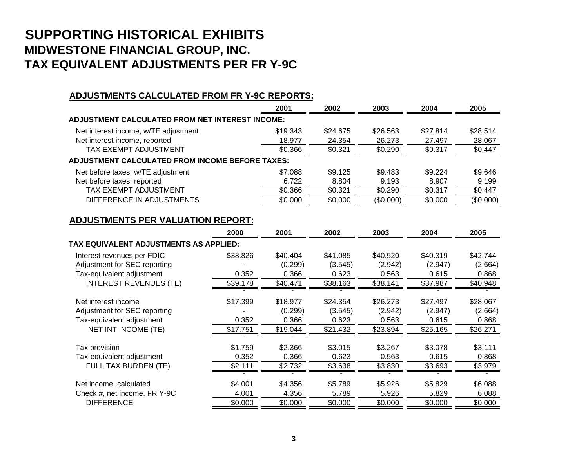## **SUPPORTING HISTORICAL EXHIBITS MIDWESTONE FINANCIAL GROUP, INC. TAX EQUIVALENT ADJUSTMENTS PER FR Y-9C**

#### **ADJUSTMENTS CALCULATED FROM FR Y-9C REPORTS:**

| \$28.514  |
|-----------|
| 28.067    |
| \$0.447   |
|           |
| \$9.646   |
| 9.199     |
| \$0.447   |
| (\$0.000) |
|           |

#### **ADJUSTMENTS PER VALUATION REPORT:**

|                                        | 2000     | 2001     | 2002     | 2003     | 2004     | 2005     |
|----------------------------------------|----------|----------|----------|----------|----------|----------|
| TAX EQUIVALENT ADJUSTMENTS AS APPLIED: |          |          |          |          |          |          |
| Interest revenues per FDIC             | \$38.826 | \$40,404 | \$41.085 | \$40,520 | \$40.319 | \$42.744 |
| Adjustment for SEC reporting           |          | (0.299)  | (3.545)  | (2.942)  | (2.947)  | (2.664)  |
| Tax-equivalent adjustment              | 0.352    | 0.366    | 0.623    | 0.563    | 0.615    | 0.868    |
| <b>INTEREST REVENUES (TE)</b>          | \$39.178 | \$40.471 | \$38.163 | \$38.141 | \$37.987 | \$40.948 |
|                                        |          |          |          |          |          |          |
| Net interest income                    | \$17.399 | \$18,977 | \$24.354 | \$26,273 | \$27.497 | \$28,067 |
| Adjustment for SEC reporting           |          | (0.299)  | (3.545)  | (2.942)  | (2.947)  | (2.664)  |
| Tax-equivalent adjustment              | 0.352    | 0.366    | 0.623    | 0.563    | 0.615    | 0.868    |
| NET INT INCOME (TE)                    | \$17.751 | \$19.044 | \$21.432 | \$23.894 | \$25.165 | \$26.271 |
|                                        |          |          |          |          |          |          |
| Tax provision                          | \$1.759  | \$2.366  | \$3.015  | \$3.267  | \$3.078  | \$3.111  |
| Tax-equivalent adjustment              | 0.352    | 0.366    | 0.623    | 0.563    | 0.615    | 0.868    |
| FULL TAX BURDEN (TE)                   | \$2.111  | \$2.732  | \$3.638  | \$3.830  | \$3.693  | \$3.979  |
|                                        |          |          |          |          |          |          |
| Net income, calculated                 | \$4.001  | \$4.356  | \$5.789  | \$5.926  | \$5.829  | \$6.088  |
| Check #, net income, FR Y-9C           | 4.001    | 4.356    | 5.789    | 5.926    | 5.829    | 6.088    |
| <b>DIFFERENCE</b>                      | \$0.000  | \$0.000  | \$0.000  | \$0.000  | \$0.000  | \$0.000  |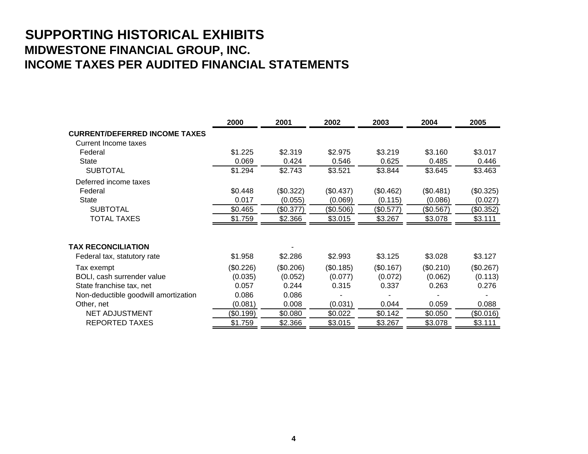## **SUPPORTING HISTORICAL EXHIBITS MIDWESTONE FINANCIAL GROUP, INC. INCOME TAXES PER AUDITED FINANCIAL STATEMENTS**

|                                      | 2000      | 2001      | 2002      | 2003      | 2004      | 2005      |
|--------------------------------------|-----------|-----------|-----------|-----------|-----------|-----------|
| <b>CURRENT/DEFERRED INCOME TAXES</b> |           |           |           |           |           |           |
| Current Income taxes                 |           |           |           |           |           |           |
| Federal                              | \$1.225   | \$2.319   | \$2.975   | \$3.219   | \$3.160   | \$3.017   |
| State                                | 0.069     | 0.424     | 0.546     | 0.625     | 0.485     | 0.446     |
| <b>SUBTOTAL</b>                      | \$1.294   | \$2.743   | \$3.521   | \$3.844   | \$3.645   | \$3.463   |
| Deferred income taxes                |           |           |           |           |           |           |
| Federal                              | \$0.448   | (\$0.322) | (\$0.437) | (\$0.462) | (\$0.481) | (\$0.325) |
| <b>State</b>                         | 0.017     | (0.055)   | (0.069)   | (0.115)   | (0.086)   | (0.027)   |
| <b>SUBTOTAL</b>                      | \$0.465   | (\$0.377) | (\$0.506) | (\$0.577) | (\$0.567) | (\$0.352) |
| <b>TOTAL TAXES</b>                   | \$1.759   | \$2.366   | \$3.015   | \$3.267   | \$3.078   | \$3.111   |
|                                      |           |           |           |           |           |           |
| <b>TAX RECONCILIATION</b>            |           |           |           |           |           |           |
| Federal tax, statutory rate          | \$1.958   | \$2.286   | \$2.993   | \$3.125   | \$3.028   | \$3.127   |
| Tax exempt                           | (\$0.226) | (\$0.206) | (\$0.185) | (\$0.167) | (\$0.210) | (\$0.267) |
| BOLI, cash surrender value           | (0.035)   | (0.052)   | (0.077)   | (0.072)   | (0.062)   | (0.113)   |
| State franchise tax, net             | 0.057     | 0.244     | 0.315     | 0.337     | 0.263     | 0.276     |
| Non-deductible goodwill amortization | 0.086     | 0.086     |           |           |           |           |
| Other, net                           | (0.081)   | 0.008     | (0.031)   | 0.044     | 0.059     | 0.088     |
| <b>NET ADJUSTMENT</b>                | (\$0.199) | \$0.080   | \$0.022   | \$0.142   | \$0.050   | (\$0.016) |
| <b>REPORTED TAXES</b>                | \$1.759   | \$2.366   | \$3.015   | \$3.267   | \$3.078   | \$3.111   |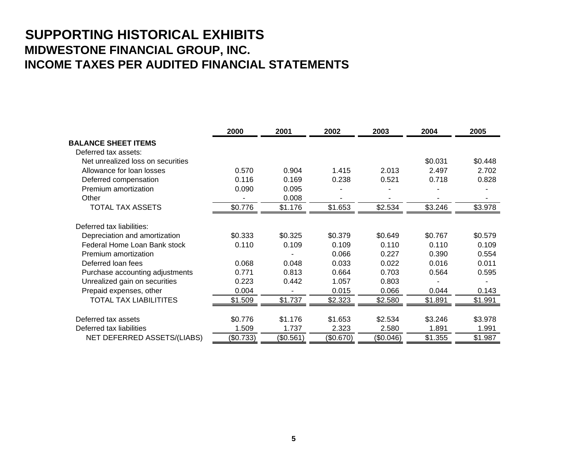## **SUPPORTING HISTORICAL EXHIBITS MIDWESTONE FINANCIAL GROUP, INC. INCOME TAXES PER AUDITED FINANCIAL STATEMENTS**

|                                   | 2000      | 2001      | 2002      | 2003      | 2004    | 2005    |
|-----------------------------------|-----------|-----------|-----------|-----------|---------|---------|
| <b>BALANCE SHEET ITEMS</b>        |           |           |           |           |         |         |
| Deferred tax assets:              |           |           |           |           |         |         |
| Net unrealized loss on securities |           |           |           |           | \$0.031 | \$0.448 |
| Allowance for loan losses         | 0.570     | 0.904     | 1.415     | 2.013     | 2.497   | 2.702   |
| Deferred compensation             | 0.116     | 0.169     | 0.238     | 0.521     | 0.718   | 0.828   |
| Premium amortization              | 0.090     | 0.095     |           |           |         |         |
| Other                             |           | 0.008     |           |           |         |         |
| TOTAL TAX ASSETS                  | \$0.776   | \$1.176   | \$1.653   | \$2.534   | \$3.246 | \$3.978 |
| Deferred tax liabilities:         |           |           |           |           |         |         |
| Depreciation and amortization     | \$0.333   | \$0.325   | \$0.379   | \$0.649   | \$0.767 | \$0.579 |
| Federal Home Loan Bank stock      | 0.110     | 0.109     | 0.109     | 0.110     | 0.110   | 0.109   |
| Premium amortization              |           |           | 0.066     | 0.227     | 0.390   | 0.554   |
| Deferred loan fees                | 0.068     | 0.048     | 0.033     | 0.022     | 0.016   | 0.011   |
| Purchase accounting adjustments   | 0.771     | 0.813     | 0.664     | 0.703     | 0.564   | 0.595   |
| Unrealized gain on securities     | 0.223     | 0.442     | 1.057     | 0.803     |         |         |
| Prepaid expenses, other           | 0.004     |           | 0.015     | 0.066     | 0.044   | 0.143   |
| <b>TOTAL TAX LIABILITITES</b>     | \$1.509   | \$1.737   | \$2.323   | \$2.580   | \$1.891 | \$1.991 |
| Deferred tax assets               | \$0.776   | \$1.176   | \$1.653   | \$2.534   | \$3.246 | \$3.978 |
| Deferred tax liabilities          | 1.509     | 1.737     |           |           | 1.891   | 1.991   |
|                                   |           |           | 2.323     | 2.580     |         |         |
| NET DEFERRED ASSETS/(LIABS)       | (\$0.733) | (\$0.561) | (\$0.670) | (\$0.046) | \$1.355 | \$1.987 |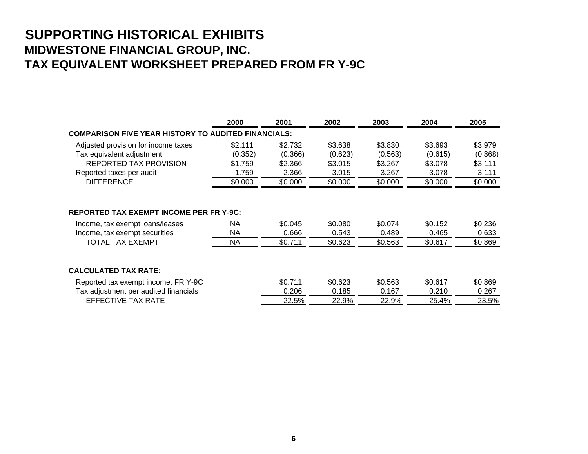## **SUPPORTING HISTORICAL EXHIBITS MIDWESTONE FINANCIAL GROUP, INC. TAX EQUIVALENT WORKSHEET PREPARED FROM FR Y-9C**

|                                                                                                                                               | 2000                          | 2001                        | 2002                        | 2003                        | 2004                        | 2005                        |
|-----------------------------------------------------------------------------------------------------------------------------------------------|-------------------------------|-----------------------------|-----------------------------|-----------------------------|-----------------------------|-----------------------------|
| <b>COMPARISON FIVE YEAR HISTORY TO AUDITED FINANCIALS:</b>                                                                                    |                               |                             |                             |                             |                             |                             |
| Adjusted provision for income taxes                                                                                                           | \$2.111                       | \$2.732                     | \$3.638                     | \$3.830                     | \$3.693                     | \$3.979                     |
| Tax equivalent adjustment                                                                                                                     | (0.352)                       | (0.366)                     | (0.623)                     | (0.563)                     | (0.615)                     | (0.868)                     |
| <b>REPORTED TAX PROVISION</b>                                                                                                                 | \$1.759                       | \$2.366                     | \$3.015                     | \$3.267                     | \$3.078                     | \$3.111                     |
| Reported taxes per audit                                                                                                                      | 1.759                         | 2.366                       | 3.015                       | 3.267                       | 3.078                       | 3.111                       |
| <b>DIFFERENCE</b>                                                                                                                             | \$0.000                       | \$0.000                     | \$0.000                     | \$0.000                     | \$0.000                     | \$0.000                     |
| <b>REPORTED TAX EXEMPT INCOME PER FR Y-9C:</b><br>Income, tax exempt loans/leases<br>Income, tax exempt securities<br><b>TOTAL TAX EXEMPT</b> | <b>NA</b><br>NA.<br><b>NA</b> | \$0.045<br>0.666<br>\$0.711 | \$0.080<br>0.543<br>\$0.623 | \$0.074<br>0.489<br>\$0.563 | \$0.152<br>0.465<br>\$0.617 | \$0.236<br>0.633<br>\$0.869 |
| <b>CALCULATED TAX RATE:</b><br>Reported tax exempt income, FR Y-9C<br>Tax adjustment per audited financials                                   |                               | \$0.711<br>0.206            | \$0.623<br>0.185            | \$0.563<br>0.167            | \$0.617<br>0.210            | \$0.869<br>0.267            |
| EFFECTIVE TAX RATE                                                                                                                            |                               | 22.5%                       | 22.9%                       | 22.9%                       | 25.4%                       | 23.5%                       |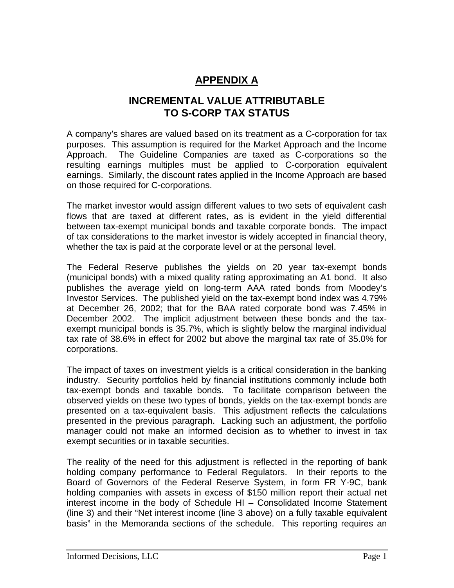### **APPENDIX A**

### **INCREMENTAL VALUE ATTRIBUTABLE TO S-CORP TAX STATUS**

A company's shares are valued based on its treatment as a C-corporation for tax purposes. This assumption is required for the Market Approach and the Income Approach. The Guideline Companies are taxed as C-corporations so the resulting earnings multiples must be applied to C-corporation equivalent earnings. Similarly, the discount rates applied in the Income Approach are based on those required for C-corporations.

The market investor would assign different values to two sets of equivalent cash flows that are taxed at different rates, as is evident in the yield differential between tax-exempt municipal bonds and taxable corporate bonds. The impact of tax considerations to the market investor is widely accepted in financial theory, whether the tax is paid at the corporate level or at the personal level.

The Federal Reserve publishes the yields on 20 year tax-exempt bonds (municipal bonds) with a mixed quality rating approximating an A1 bond. It also publishes the average yield on long-term AAA rated bonds from Moodey's Investor Services. The published yield on the tax-exempt bond index was 4.79% at December 26, 2002; that for the BAA rated corporate bond was 7.45% in December 2002. The implicit adjustment between these bonds and the taxexempt municipal bonds is 35.7%, which is slightly below the marginal individual tax rate of 38.6% in effect for 2002 but above the marginal tax rate of 35.0% for corporations.

The impact of taxes on investment yields is a critical consideration in the banking industry. Security portfolios held by financial institutions commonly include both tax-exempt bonds and taxable bonds. To facilitate comparison between the observed yields on these two types of bonds, yields on the tax-exempt bonds are presented on a tax-equivalent basis. This adjustment reflects the calculations presented in the previous paragraph. Lacking such an adjustment, the portfolio manager could not make an informed decision as to whether to invest in tax exempt securities or in taxable securities.

The reality of the need for this adjustment is reflected in the reporting of bank holding company performance to Federal Regulators. In their reports to the Board of Governors of the Federal Reserve System, in form FR Y-9C, bank holding companies with assets in excess of \$150 million report their actual net interest income in the body of Schedule HI – Consolidated Income Statement (line 3) and their "Net interest income (line 3 above) on a fully taxable equivalent basis" in the Memoranda sections of the schedule. This reporting requires an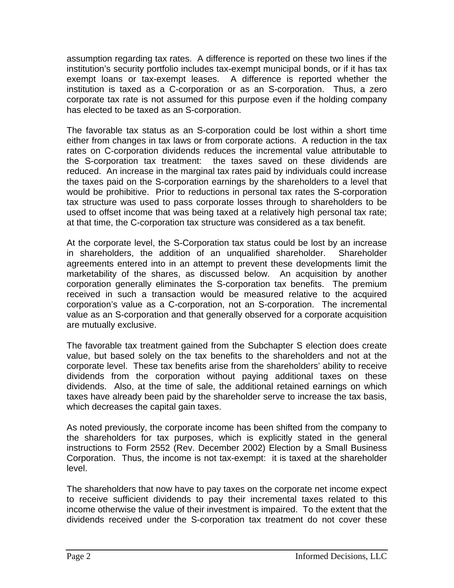assumption regarding tax rates. A difference is reported on these two lines if the institution's security portfolio includes tax-exempt municipal bonds, or if it has tax exempt loans or tax-exempt leases. A difference is reported whether the institution is taxed as a C-corporation or as an S-corporation. Thus, a zero corporate tax rate is not assumed for this purpose even if the holding company has elected to be taxed as an S-corporation.

The favorable tax status as an S-corporation could be lost within a short time either from changes in tax laws or from corporate actions. A reduction in the tax rates on C-corporation dividends reduces the incremental value attributable to the S-corporation tax treatment: the taxes saved on these dividends are reduced. An increase in the marginal tax rates paid by individuals could increase the taxes paid on the S-corporation earnings by the shareholders to a level that would be prohibitive. Prior to reductions in personal tax rates the S-corporation tax structure was used to pass corporate losses through to shareholders to be used to offset income that was being taxed at a relatively high personal tax rate; at that time, the C-corporation tax structure was considered as a tax benefit.

At the corporate level, the S-Corporation tax status could be lost by an increase in shareholders, the addition of an unqualified shareholder. Shareholder agreements entered into in an attempt to prevent these developments limit the marketability of the shares, as discussed below. An acquisition by another corporation generally eliminates the S-corporation tax benefits. The premium received in such a transaction would be measured relative to the acquired corporation's value as a C-corporation, not an S-corporation. The incremental value as an S-corporation and that generally observed for a corporate acquisition are mutually exclusive.

The favorable tax treatment gained from the Subchapter S election does create value, but based solely on the tax benefits to the shareholders and not at the corporate level. These tax benefits arise from the shareholders' ability to receive dividends from the corporation without paying additional taxes on these dividends. Also, at the time of sale, the additional retained earnings on which taxes have already been paid by the shareholder serve to increase the tax basis, which decreases the capital gain taxes.

As noted previously, the corporate income has been shifted from the company to the shareholders for tax purposes, which is explicitly stated in the general instructions to Form 2552 (Rev. December 2002) Election by a Small Business Corporation. Thus, the income is not tax-exempt: it is taxed at the shareholder level.

The shareholders that now have to pay taxes on the corporate net income expect to receive sufficient dividends to pay their incremental taxes related to this income otherwise the value of their investment is impaired. To the extent that the dividends received under the S-corporation tax treatment do not cover these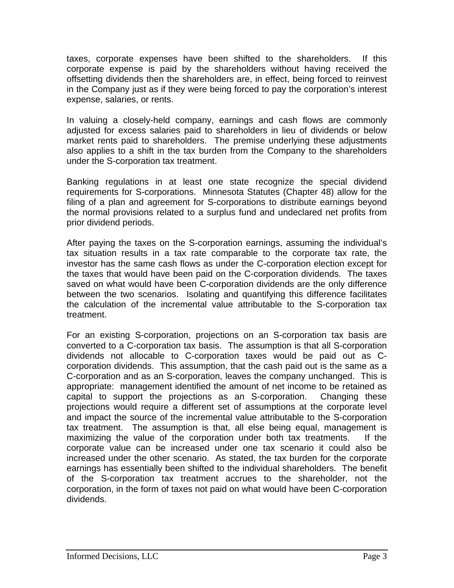taxes, corporate expenses have been shifted to the shareholders. If this corporate expense is paid by the shareholders without having received the offsetting dividends then the shareholders are, in effect, being forced to reinvest in the Company just as if they were being forced to pay the corporation's interest expense, salaries, or rents.

In valuing a closely-held company, earnings and cash flows are commonly adjusted for excess salaries paid to shareholders in lieu of dividends or below market rents paid to shareholders. The premise underlying these adjustments also applies to a shift in the tax burden from the Company to the shareholders under the S-corporation tax treatment.

Banking regulations in at least one state recognize the special dividend requirements for S-corporations. Minnesota Statutes (Chapter 48) allow for the filing of a plan and agreement for S-corporations to distribute earnings beyond the normal provisions related to a surplus fund and undeclared net profits from prior dividend periods.

After paying the taxes on the S-corporation earnings, assuming the individual's tax situation results in a tax rate comparable to the corporate tax rate, the investor has the same cash flows as under the C-corporation election except for the taxes that would have been paid on the C-corporation dividends. The taxes saved on what would have been C-corporation dividends are the only difference between the two scenarios. Isolating and quantifying this difference facilitates the calculation of the incremental value attributable to the S-corporation tax treatment.

For an existing S-corporation, projections on an S-corporation tax basis are converted to a C-corporation tax basis. The assumption is that all S-corporation dividends not allocable to C-corporation taxes would be paid out as Ccorporation dividends. This assumption, that the cash paid out is the same as a C-corporation and as an S-corporation, leaves the company unchanged. This is appropriate: management identified the amount of net income to be retained as capital to support the projections as an S-corporation. Changing these projections would require a different set of assumptions at the corporate level and impact the source of the incremental value attributable to the S-corporation tax treatment. The assumption is that, all else being equal, management is maximizing the value of the corporation under both tax treatments. If the corporate value can be increased under one tax scenario it could also be increased under the other scenario. As stated, the tax burden for the corporate earnings has essentially been shifted to the individual shareholders. The benefit of the S-corporation tax treatment accrues to the shareholder, not the corporation, in the form of taxes not paid on what would have been C-corporation dividends.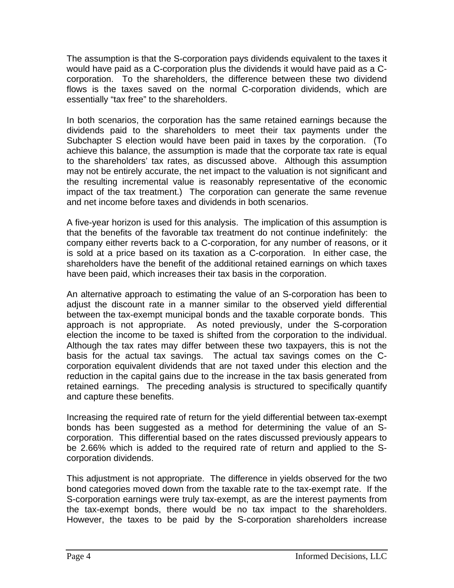The assumption is that the S-corporation pays dividends equivalent to the taxes it would have paid as a C-corporation plus the dividends it would have paid as a Ccorporation. To the shareholders, the difference between these two dividend flows is the taxes saved on the normal C-corporation dividends, which are essentially "tax free" to the shareholders.

In both scenarios, the corporation has the same retained earnings because the dividends paid to the shareholders to meet their tax payments under the Subchapter S election would have been paid in taxes by the corporation. (To achieve this balance, the assumption is made that the corporate tax rate is equal to the shareholders' tax rates, as discussed above. Although this assumption may not be entirely accurate, the net impact to the valuation is not significant and the resulting incremental value is reasonably representative of the economic impact of the tax treatment.) The corporation can generate the same revenue and net income before taxes and dividends in both scenarios.

A five-year horizon is used for this analysis. The implication of this assumption is that the benefits of the favorable tax treatment do not continue indefinitely: the company either reverts back to a C-corporation, for any number of reasons, or it is sold at a price based on its taxation as a C-corporation. In either case, the shareholders have the benefit of the additional retained earnings on which taxes have been paid, which increases their tax basis in the corporation.

An alternative approach to estimating the value of an S-corporation has been to adjust the discount rate in a manner similar to the observed yield differential between the tax-exempt municipal bonds and the taxable corporate bonds. This approach is not appropriate. As noted previously, under the S-corporation election the income to be taxed is shifted from the corporation to the individual. Although the tax rates may differ between these two taxpayers, this is not the basis for the actual tax savings. The actual tax savings comes on the Ccorporation equivalent dividends that are not taxed under this election and the reduction in the capital gains due to the increase in the tax basis generated from retained earnings. The preceding analysis is structured to specifically quantify and capture these benefits.

Increasing the required rate of return for the yield differential between tax-exempt bonds has been suggested as a method for determining the value of an Scorporation. This differential based on the rates discussed previously appears to be 2.66% which is added to the required rate of return and applied to the Scorporation dividends.

This adjustment is not appropriate. The difference in yields observed for the two bond categories moved down from the taxable rate to the tax-exempt rate. If the S-corporation earnings were truly tax-exempt, as are the interest payments from the tax-exempt bonds, there would be no tax impact to the shareholders. However, the taxes to be paid by the S-corporation shareholders increase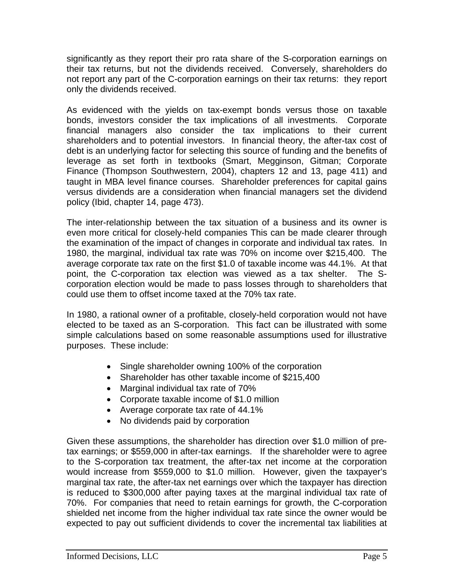significantly as they report their pro rata share of the S-corporation earnings on their tax returns, but not the dividends received. Conversely, shareholders do not report any part of the C-corporation earnings on their tax returns: they report only the dividends received.

As evidenced with the yields on tax-exempt bonds versus those on taxable bonds, investors consider the tax implications of all investments. Corporate financial managers also consider the tax implications to their current shareholders and to potential investors. In financial theory, the after-tax cost of debt is an underlying factor for selecting this source of funding and the benefits of leverage as set forth in textbooks (Smart, Megginson, Gitman; Corporate Finance (Thompson Southwestern, 2004), chapters 12 and 13, page 411) and taught in MBA level finance courses. Shareholder preferences for capital gains versus dividends are a consideration when financial managers set the dividend policy (Ibid, chapter 14, page 473).

The inter-relationship between the tax situation of a business and its owner is even more critical for closely-held companies This can be made clearer through the examination of the impact of changes in corporate and individual tax rates. In 1980, the marginal, individual tax rate was 70% on income over \$215,400. The average corporate tax rate on the first \$1.0 of taxable income was 44.1%. At that point, the C-corporation tax election was viewed as a tax shelter. The Scorporation election would be made to pass losses through to shareholders that could use them to offset income taxed at the 70% tax rate.

In 1980, a rational owner of a profitable, closely-held corporation would not have elected to be taxed as an S-corporation. This fact can be illustrated with some simple calculations based on some reasonable assumptions used for illustrative purposes. These include:

- Single shareholder owning 100% of the corporation
- Shareholder has other taxable income of \$215,400
- Marginal individual tax rate of 70%
- Corporate taxable income of \$1.0 million
- Average corporate tax rate of 44.1%
- No dividends paid by corporation

Given these assumptions, the shareholder has direction over \$1.0 million of pretax earnings; or \$559,000 in after-tax earnings. If the shareholder were to agree to the S-corporation tax treatment, the after-tax net income at the corporation would increase from \$559,000 to \$1.0 million. However, given the taxpayer's marginal tax rate, the after-tax net earnings over which the taxpayer has direction is reduced to \$300,000 after paying taxes at the marginal individual tax rate of 70%. For companies that need to retain earnings for growth, the C-corporation shielded net income from the higher individual tax rate since the owner would be expected to pay out sufficient dividends to cover the incremental tax liabilities at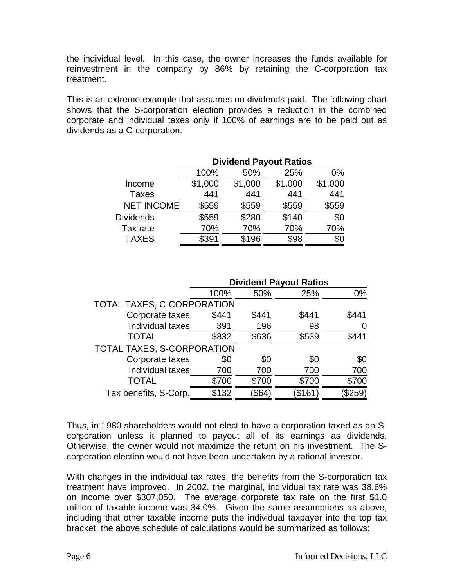the individual level. In this case, the owner increases the funds available for reinvestment in the company by 86% by retaining the C-corporation tax treatment.

This is an extreme example that assumes no dividends paid. The following chart shows that the S-corporation election provides a reduction in the combined corporate and individual taxes only if 100% of earnings are to be paid out as dividends as a C-corporation.

|                   | <b>Dividend Payout Ratios</b> |         |         |         |  |  |
|-------------------|-------------------------------|---------|---------|---------|--|--|
|                   | 100%                          | 50%     | 25%     | 0%      |  |  |
| Income            | \$1,000                       | \$1,000 | \$1,000 | \$1,000 |  |  |
| <b>Taxes</b>      | 441                           | 441     | 441     | 441     |  |  |
| <b>NET INCOME</b> | \$559                         | \$559   | \$559   | \$559   |  |  |
| <b>Dividends</b>  | \$559                         | \$280   | \$140   | \$0     |  |  |
| Tax rate          | 70%                           | 70%     | 70%     | 70%     |  |  |
| <b>TAXES</b>      | \$391                         | \$196   | \$98    | \$0     |  |  |

|                            | <b>Dividend Payout Ratios</b> |        |         |       |  |  |
|----------------------------|-------------------------------|--------|---------|-------|--|--|
|                            | 100%                          | 50%    | 25%     | $0\%$ |  |  |
| TOTAL TAXES, C-CORPORATION |                               |        |         |       |  |  |
| Corporate taxes            | \$441                         | \$441  | \$441   | \$441 |  |  |
| Individual taxes           | 391                           | 196    | 98      |       |  |  |
| <b>TOTAL</b>               | \$832                         | \$636  | \$539   | \$441 |  |  |
| TOTAL TAXES, S-CORPORATION |                               |        |         |       |  |  |
| Corporate taxes            | \$0                           | \$0    | \$0     | \$0   |  |  |
| Individual taxes           | 700                           | 700    | 700     | 700   |  |  |
| TOTAL                      | \$700                         | \$700  | \$700   | \$700 |  |  |
| Tax benefits, S-Corp.      | \$132                         | (\$64) | $\$161$ | \$259 |  |  |

Thus, in 1980 shareholders would not elect to have a corporation taxed as an Scorporation unless it planned to payout all of its earnings as dividends. Otherwise, the owner would not maximize the return on his investment. The Scorporation election would not have been undertaken by a rational investor.

With changes in the individual tax rates, the benefits from the S-corporation tax treatment have improved. In 2002, the marginal, individual tax rate was 38.6% on income over \$307,050. The average corporate tax rate on the first \$1.0 million of taxable income was 34.0%. Given the same assumptions as above, including that other taxable income puts the individual taxpayer into the top tax bracket, the above schedule of calculations would be summarized as follows: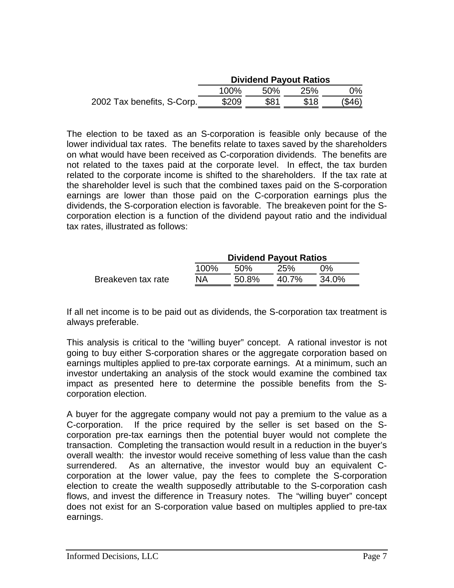|                            | <b>Dividend Payout Ratios</b> |      |      |        |
|----------------------------|-------------------------------|------|------|--------|
|                            | 100%                          | .50% | 25%  | $0\%$  |
| 2002 Tax benefits, S-Corp. | \$209                         | \$81 | \$18 | (\$46) |

The election to be taxed as an S-corporation is feasible only because of the lower individual tax rates. The benefits relate to taxes saved by the shareholders on what would have been received as C-corporation dividends. The benefits are not related to the taxes paid at the corporate level. In effect, the tax burden related to the corporate income is shifted to the shareholders. If the tax rate at the shareholder level is such that the combined taxes paid on the S-corporation earnings are lower than those paid on the C-corporation earnings plus the dividends, the S-corporation election is favorable. The breakeven point for the Scorporation election is a function of the dividend payout ratio and the individual tax rates, illustrated as follows:

|                    | <b>Dividend Payout Ratios</b> |       |          |       |  |  |
|--------------------|-------------------------------|-------|----------|-------|--|--|
|                    | 100%                          | .50%  | 25%      | በ%    |  |  |
| Breakeven tax rate | NA.                           | 50.8% | $40.7\%$ | 34.0% |  |  |

If all net income is to be paid out as dividends, the S-corporation tax treatment is always preferable.

This analysis is critical to the "willing buyer" concept. A rational investor is not going to buy either S-corporation shares or the aggregate corporation based on earnings multiples applied to pre-tax corporate earnings. At a minimum, such an investor undertaking an analysis of the stock would examine the combined tax impact as presented here to determine the possible benefits from the Scorporation election.

A buyer for the aggregate company would not pay a premium to the value as a C-corporation. If the price required by the seller is set based on the Scorporation pre-tax earnings then the potential buyer would not complete the transaction. Completing the transaction would result in a reduction in the buyer's overall wealth: the investor would receive something of less value than the cash surrendered. As an alternative, the investor would buy an equivalent Ccorporation at the lower value, pay the fees to complete the S-corporation election to create the wealth supposedly attributable to the S-corporation cash flows, and invest the difference in Treasury notes. The "willing buyer" concept does not exist for an S-corporation value based on multiples applied to pre-tax earnings.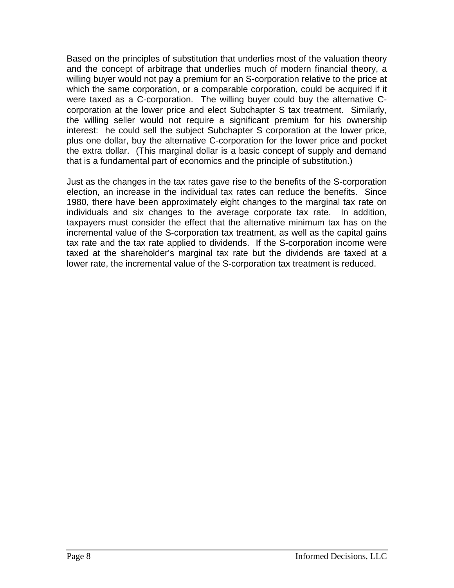Based on the principles of substitution that underlies most of the valuation theory and the concept of arbitrage that underlies much of modern financial theory, a willing buyer would not pay a premium for an S-corporation relative to the price at which the same corporation, or a comparable corporation, could be acquired if it were taxed as a C-corporation. The willing buyer could buy the alternative Ccorporation at the lower price and elect Subchapter S tax treatment. Similarly, the willing seller would not require a significant premium for his ownership interest: he could sell the subject Subchapter S corporation at the lower price, plus one dollar, buy the alternative C-corporation for the lower price and pocket the extra dollar. (This marginal dollar is a basic concept of supply and demand that is a fundamental part of economics and the principle of substitution.)

Just as the changes in the tax rates gave rise to the benefits of the S-corporation election, an increase in the individual tax rates can reduce the benefits. Since 1980, there have been approximately eight changes to the marginal tax rate on individuals and six changes to the average corporate tax rate. In addition, taxpayers must consider the effect that the alternative minimum tax has on the incremental value of the S-corporation tax treatment, as well as the capital gains tax rate and the tax rate applied to dividends. If the S-corporation income were taxed at the shareholder's marginal tax rate but the dividends are taxed at a lower rate, the incremental value of the S-corporation tax treatment is reduced.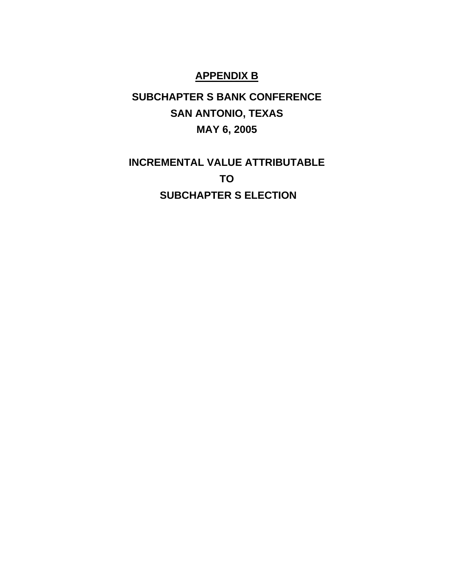### **APPENDIX B**

# **SUBCHAPTER S BANK CONFERENCE SAN ANTONIO, TEXAS MAY 6, 2005**

# **INCREMENTAL VALUE ATTRIBUTABLE TO SUBCHAPTER S ELECTION**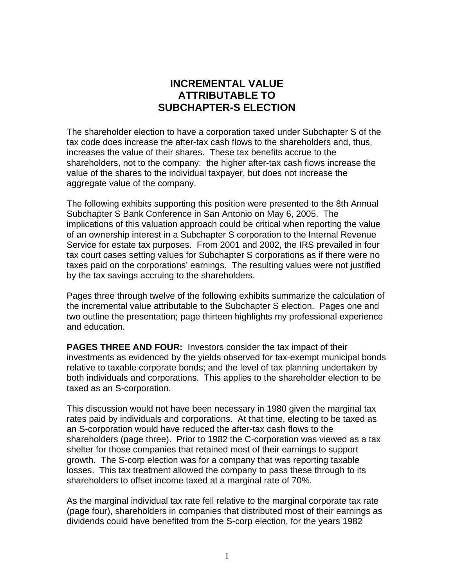### **INCREMENTAL VALUE ATTRIBUTABLE TO SUBCHAPTER-S ELECTION**

The shareholder election to have a corporation taxed under Subchapter S of the tax code does increase the after-tax cash flows to the shareholders and, thus, increases the value of their shares. These tax benefits accrue to the shareholders, not to the company: the higher after-tax cash flows increase the value of the shares to the individual taxpayer, but does not increase the aggregate value of the company.

The following exhibits supporting this position were presented to the 8th Annual Subchapter S Bank Conference in San Antonio on May 6, 2005. The implications of this valuation approach could be critical when reporting the value of an ownership interest in a Subchapter S corporation to the Internal Revenue Service for estate tax purposes. From 2001 and 2002, the IRS prevailed in four tax court cases setting values for Subchapter S corporations as if there were no taxes paid on the corporations' earnings. The resulting values were not justified by the tax savings accruing to the shareholders.

Pages three through twelve of the following exhibits summarize the calculation of the incremental value attributable to the Subchapter S election. Pages one and two outline the presentation; page thirteen highlights my professional experience and education.

**PAGES THREE AND FOUR:** Investors consider the tax impact of their investments as evidenced by the yields observed for tax-exempt municipal bonds relative to taxable corporate bonds; and the level of tax planning undertaken by both individuals and corporations. This applies to the shareholder election to be taxed as an S-corporation.

This discussion would not have been necessary in 1980 given the marginal tax rates paid by individuals and corporations. At that time, electing to be taxed as an S-corporation would have reduced the after-tax cash flows to the shareholders (page three). Prior to 1982 the C-corporation was viewed as a tax shelter for those companies that retained most of their earnings to support growth. The S-corp election was for a company that was reporting taxable losses. This tax treatment allowed the company to pass these through to its shareholders to offset income taxed at a marginal rate of 70%.

As the marginal individual tax rate fell relative to the marginal corporate tax rate (page four), shareholders in companies that distributed most of their earnings as dividends could have benefited from the S-corp election, for the years 1982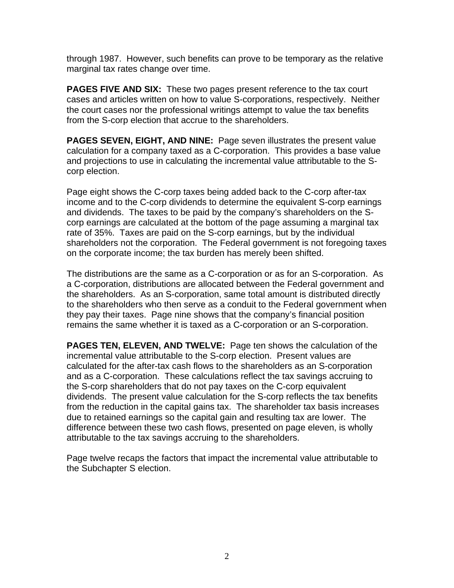through 1987. However, such benefits can prove to be temporary as the relative marginal tax rates change over time.

**PAGES FIVE AND SIX:** These two pages present reference to the tax court cases and articles written on how to value S-corporations, respectively. Neither the court cases nor the professional writings attempt to value the tax benefits from the S-corp election that accrue to the shareholders.

**PAGES SEVEN, EIGHT, AND NINE:** Page seven illustrates the present value calculation for a company taxed as a C-corporation. This provides a base value and projections to use in calculating the incremental value attributable to the Scorp election.

Page eight shows the C-corp taxes being added back to the C-corp after-tax income and to the C-corp dividends to determine the equivalent S-corp earnings and dividends. The taxes to be paid by the company's shareholders on the Scorp earnings are calculated at the bottom of the page assuming a marginal tax rate of 35%. Taxes are paid on the S-corp earnings, but by the individual shareholders not the corporation. The Federal government is not foregoing taxes on the corporate income; the tax burden has merely been shifted.

The distributions are the same as a C-corporation or as for an S-corporation. As a C-corporation, distributions are allocated between the Federal government and the shareholders. As an S-corporation, same total amount is distributed directly to the shareholders who then serve as a conduit to the Federal government when they pay their taxes. Page nine shows that the company's financial position remains the same whether it is taxed as a C-corporation or an S-corporation.

**PAGES TEN, ELEVEN, AND TWELVE:** Page ten shows the calculation of the incremental value attributable to the S-corp election. Present values are calculated for the after-tax cash flows to the shareholders as an S-corporation and as a C-corporation. These calculations reflect the tax savings accruing to the S-corp shareholders that do not pay taxes on the C-corp equivalent dividends. The present value calculation for the S-corp reflects the tax benefits from the reduction in the capital gains tax. The shareholder tax basis increases due to retained earnings so the capital gain and resulting tax are lower. The difference between these two cash flows, presented on page eleven, is wholly attributable to the tax savings accruing to the shareholders.

Page twelve recaps the factors that impact the incremental value attributable to the Subchapter S election.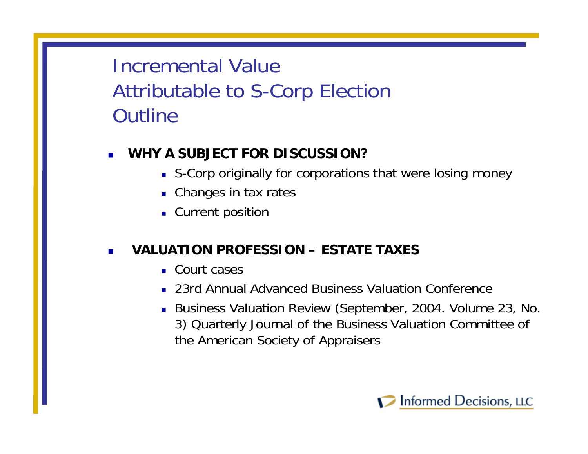# Incremental ValueAttributable to S-Corp Election **Outline**

#### П **WHY A SUBJECT FOR DISCUSSION?**

- S-Corp originally for corporations that were losing money
- **Changes in tax rates**
- **Current position**

#### П **VALUATION PROFESSION – ESTATE TAXES**

- Court cases
- 23rd Annual Advanced Business Valuation Conference
- Business Valuation Review (September, 2004. Volume 23, No. 3) Quarterly Journal of the Business Valuation Committee of the American Society of Appraisers

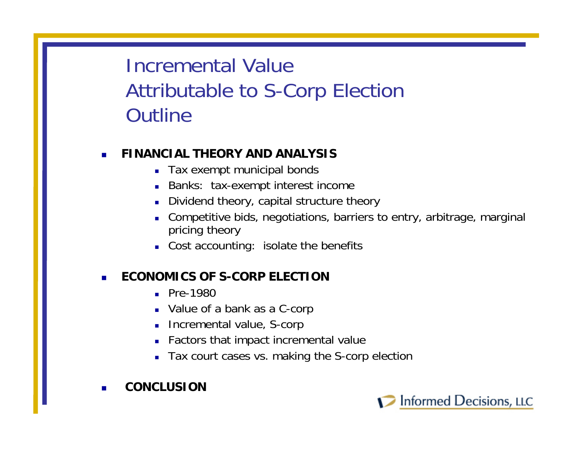# Incremental ValueAttributable to S-Corp Election **Outline**

## **FINANCIAL THEORY AND ANALYSIS**

- Tax exempt municipal bonds
- Banks: tax-exempt interest income
- п Dividend theory, capital structure theory
- П Competitive bids, negotiations, barriers to entry, arbitrage, marginal pricing theory
- Cost accounting: isolate the benefits

## **ECONOMICS OF S-CORP ELECTION**

- Pre-1980
- Value of a bank as a C-corp
- **Incremental value, S-corp**
- Factors that impact incremental value
- Tax court cases vs. making the S-corp election
- **CONCLUSION**

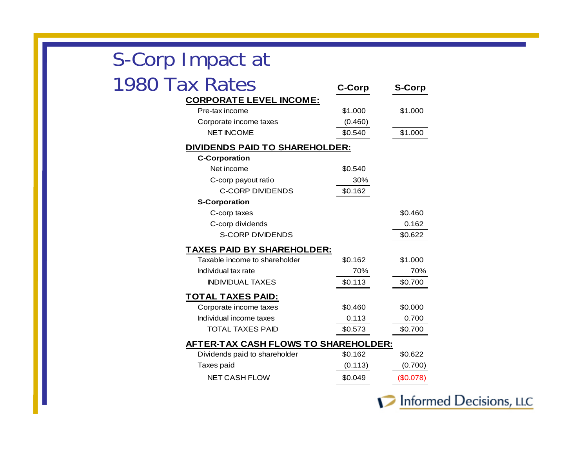| S-Corp Impact at                            |               |               |
|---------------------------------------------|---------------|---------------|
| 1980 Tax Rates                              | <b>C-Corp</b> | <b>S-Corp</b> |
| <b>CORPORATE LEVEL INCOME:</b>              |               |               |
| Pre-tax income                              | \$1.000       | \$1.000       |
| Corporate income taxes                      | (0.460)       |               |
| <b>NET INCOME</b>                           | \$0.540       | \$1.000       |
| <b>DIVIDENDS PAID TO SHAREHOLDER:</b>       |               |               |
| <b>C-Corporation</b>                        |               |               |
| Net income                                  | \$0.540       |               |
| C-corp payout ratio                         | 30%           |               |
| <b>C-CORP DIVIDENDS</b>                     | \$0.162       |               |
| <b>S-Corporation</b>                        |               |               |
| C-corp taxes                                |               | \$0.460       |
| C-corp dividends                            |               | 0.162         |
| <b>S-CORP DIVIDENDS</b>                     |               | \$0.622       |
| <b>TAXES PAID BY SHAREHOLDER:</b>           |               |               |
| Taxable income to shareholder               | \$0.162       | \$1.000       |
| Individual tax rate                         | 70%           | 70%           |
| <b>INDIVIDUAL TAXES</b>                     | \$0.113       | \$0.700       |
| <u>TOTAL TAXES PAID:</u>                    |               |               |
| Corporate income taxes                      | \$0.460       | \$0.000       |
| Individual income taxes                     | 0.113         | 0.700         |
| <b>TOTAL TAXES PAID</b>                     | \$0.573       | \$0.700       |
| <b>AFTER-TAX CASH FLOWS TO SHAREHOLDER:</b> |               |               |
| Dividends paid to shareholder               | \$0.162       | \$0.622       |
| Taxes paid                                  | (0.113)       | (0.700)       |
| <b>NET CASH FLOW</b>                        | \$0.049       | (\$0.078)     |
|                                             |               |               |

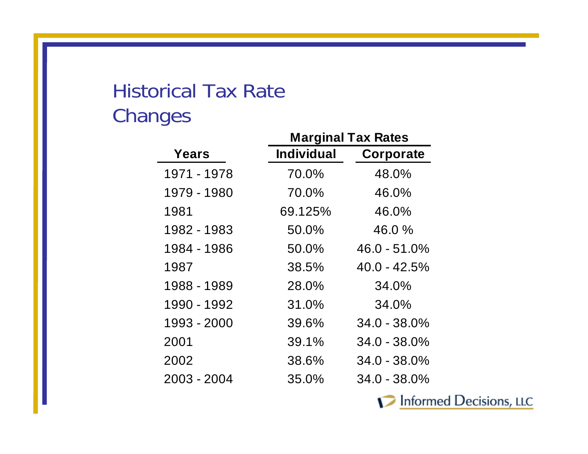# Historical Tax RateChanges

|             | <b>Marginal Tax Rates</b> |                 |  |  |
|-------------|---------------------------|-----------------|--|--|
| Years       | <b>Individual</b>         | Corporate       |  |  |
| 1971 - 1978 | 70.0%                     | 48.0%           |  |  |
| 1979 - 1980 | 70.0%                     | 46.0%           |  |  |
| 1981        | 69.125%                   | 46.0%           |  |  |
| 1982 - 1983 | 50.0%                     | $46.0 \%$       |  |  |
| 1984 - 1986 | 50.0%                     | $46.0 - 51.0\%$ |  |  |
| 1987        | 38.5%                     | $40.0 - 42.5\%$ |  |  |
| 1988 - 1989 | 28.0%                     | 34.0%           |  |  |
| 1990 - 1992 | 31.0%                     | 34.0%           |  |  |
| 1993 - 2000 | 39.6%                     | $34.0 - 38.0\%$ |  |  |
| 2001        | 39.1%                     | $34.0 - 38.0\%$ |  |  |
| 2002        | 38.6%                     | $34.0 - 38.0\%$ |  |  |
| 2003 - 2004 | 35.0%                     | $34.0 - 38.0\%$ |  |  |

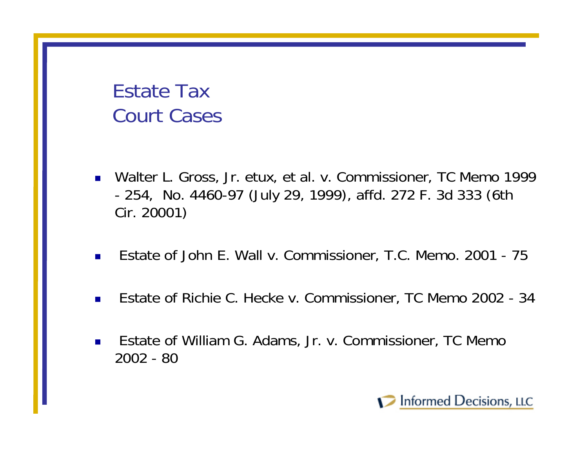# Estate TaxCourt Cases

- Walter L. Gross, Jr. etux, et al. v. Commissioner, TC Memo 1999 - 254, No. 4460-97 (July 29, 1999), affd. 272 F. 3d 333 (6th Cir. 20001)
- $\mathcal{L}^{\mathcal{L}}$ Estate of John E. Wall v. Commissioner, T.C. Memo. 2001 - 75
- $\overline{\phantom{a}}$ Estate of Richie C. Hecke v. Commissioner, TC Memo 2002 - 34
- $\blacksquare$  Estate of William G. Adams, Jr. v. Commissioner, TC Memo 2002 - 80

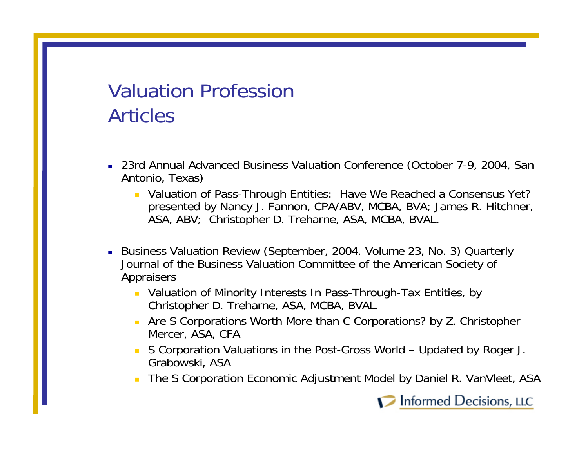# Valuation ProfessionArticles

- 23rd Annual Advanced Business Valuation Conference (October 7-9, 2004, San Antonio, Texas)
	- **DED Valuation of Pass-Through Entities: Have We Reached a Consensus Yet?** presented by Nancy J. Fannon, CPA/ABV, MCBA, BVA; James R. Hitchner, ASA, ABV; Christopher D. Treharne, ASA, MCBA, BVAL.
- Business Valuation Review (September, 2004. Volume 23, No. 3) Quarterly Journal of the Business Valuation Committee of the American Society of Appraisers
	- Valuation of Minority Interests In Pass-Through-Tax Entities, by Christopher D. Treharne, ASA, MCBA, BVAL.
	- Are S Corporations Worth More than C Corporations? by Z. Christopher Mercer, ASA, CFA
	- П S Corporation Valuations in the Post-Gross World – Updated by Roger J. Grabowski, ASA
	- $\mathbf{r}$ The S Corporation Economic Adjustment Model by Daniel R. VanVleet, ASA

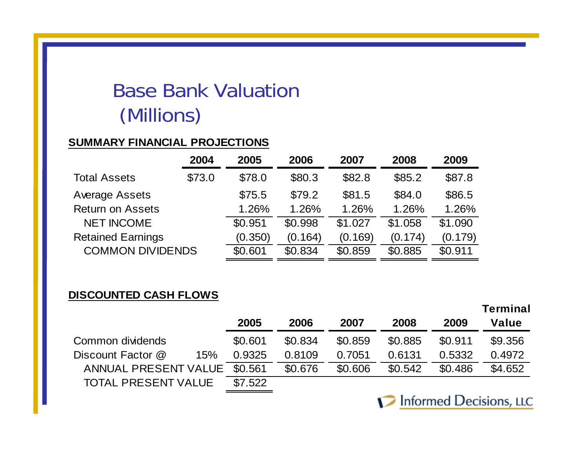# Base Bank Valuation(Millions)

### **SUMMARY FINANCIAL PROJECTIONS**

|                          | 2004   | 2005    | 2006    | 2007    | 2008    | 2009    |
|--------------------------|--------|---------|---------|---------|---------|---------|
| <b>Total Assets</b>      | \$73.0 | \$78.0  | \$80.3  | \$82.8  | \$85.2  | \$87.8  |
| Average Assets           |        | \$75.5  | \$79.2  | \$81.5  | \$84.0  | \$86.5  |
| <b>Return on Assets</b>  |        | 1.26%   | 1.26%   | 1.26%   | 1.26%   | 1.26%   |
| <b>NET INCOME</b>        |        | \$0.951 | \$0.998 | \$1.027 | \$1.058 | \$1.090 |
| <b>Retained Earnings</b> |        | (0.350) | (0.164) | (0.169) | (0.174) | (0.179) |
| <b>COMMON DIVIDENDS</b>  |        | \$0.601 | \$0.834 | \$0.859 | \$0.885 | \$0.911 |

### **DISCOUNTED CASH FLOWS**

|     |                                                    |         |         |         |         | 1 VIIIIIIIUI |
|-----|----------------------------------------------------|---------|---------|---------|---------|--------------|
|     | 2005                                               | 2006    | 2007    | 2008    | 2009    | Value        |
|     | \$0.601                                            | \$0.834 | \$0.859 | \$0.885 | \$0.911 | \$9,356      |
| 15% | 0.9325                                             | 0.8109  | 0.7051  | 0.6131  | 0.5332  | 0.4972       |
|     |                                                    | \$0.676 | \$0.606 | \$0.542 | \$0.486 | \$4.652      |
|     | \$7.522                                            |         |         |         |         |              |
|     | ANNUAL PRESENT VALUE<br><b>TOTAL PRESENT VALUE</b> | \$0.561 |         |         |         |              |



**Terminal**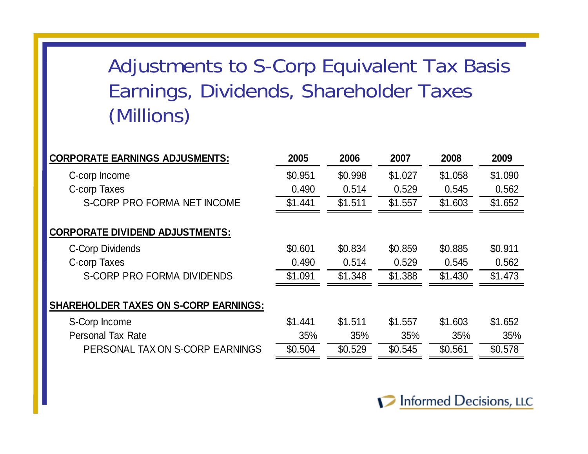# Adjustments to S-Corp Equivalent Tax Basis Earnings, Dividends, Shareholder Taxes (Millions)

| <b>CORPORATE EARNINGS ADJUSMENTS:</b>        | 2005    | 2006    | 2007    | 2008    | 2009    |
|----------------------------------------------|---------|---------|---------|---------|---------|
| C-corp Income                                | \$0.951 | \$0.998 | \$1.027 | \$1.058 | \$1.090 |
| C-corp Taxes                                 | 0.490   | 0.514   | 0.529   | 0.545   | 0.562   |
| S-CORP PRO FORMA NET INCOME                  | \$1.441 | \$1.511 | \$1.557 | \$1.603 | \$1.652 |
|                                              |         |         |         |         |         |
| <b>CORPORATE DIVIDEND ADJUSTMENTS:</b>       |         |         |         |         |         |
| <b>C-Corp Dividends</b>                      | \$0.601 | \$0.834 | \$0.859 | \$0.885 | \$0.911 |
| C-corp Taxes                                 | 0.490   | 0.514   | 0.529   | 0.545   | 0.562   |
| S-CORP PRO FORMA DIVIDENDS                   | \$1.091 | \$1.348 | \$1.388 | \$1.430 | \$1.473 |
| <b>SHAREHOLDER TAXES ON S-CORP EARNINGS:</b> |         |         |         |         |         |
|                                              |         |         |         |         |         |
| S-Corp Income                                | \$1.441 | \$1.511 | \$1.557 | \$1.603 | \$1.652 |
| <b>Personal Tax Rate</b>                     | 35%     | 35%     | 35%     | 35%     | 35%     |
| PERSONAL TAX ON S-CORP EARNINGS              | \$0.504 | \$0.529 | \$0.545 | \$0.561 | \$0.578 |

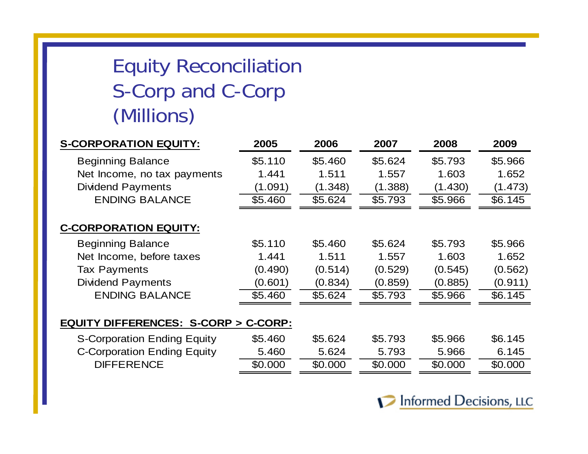# Equity Reconciliation S-Corp and C-Corp (Millions)

| <b>S-CORPORATION EQUITY:</b>                   | 2005    | 2006    | 2007    | 2008    | 2009    |
|------------------------------------------------|---------|---------|---------|---------|---------|
| <b>Beginning Balance</b>                       | \$5.110 | \$5.460 | \$5.624 | \$5.793 | \$5.966 |
| Net Income, no tax payments                    | 1.441   | 1.511   | 1.557   | 1.603   | 1.652   |
| <b>Dividend Payments</b>                       | (1.091) | (1.348) | (1.388) | (1.430) | (1.473) |
| <b>ENDING BALANCE</b>                          | \$5.460 | \$5.624 | \$5.793 | \$5.966 | \$6.145 |
| <b>C-CORPORATION EQUITY:</b>                   |         |         |         |         |         |
| <b>Beginning Balance</b>                       | \$5.110 | \$5.460 | \$5.624 | \$5.793 | \$5.966 |
| Net Income, before taxes                       | 1.441   | 1.511   | 1.557   | 1.603   | 1.652   |
| <b>Tax Payments</b>                            | (0.490) | (0.514) | (0.529) | (0.545) | (0.562) |
| <b>Dividend Payments</b>                       | (0.601) | (0.834) | (0.859) | (0.885) | (0.911) |
| <b>ENDING BALANCE</b>                          | \$5.460 | \$5.624 | \$5.793 | \$5.966 | \$6.145 |
|                                                |         |         |         |         |         |
| <b>EQUITY DIFFERENCES: S-CORP &gt; C-CORP:</b> |         |         |         |         |         |
| <b>S-Corporation Ending Equity</b>             | \$5.460 | \$5.624 | \$5.793 | \$5.966 | \$6.145 |
| <b>C-Corporation Ending Equity</b>             | 5.460   | 5.624   | 5.793   | 5.966   | 6.145   |
| <b>DIFFERENCE</b>                              | \$0.000 | \$0.000 | \$0.000 | \$0.000 | \$0.000 |

Informed Decisions, LLC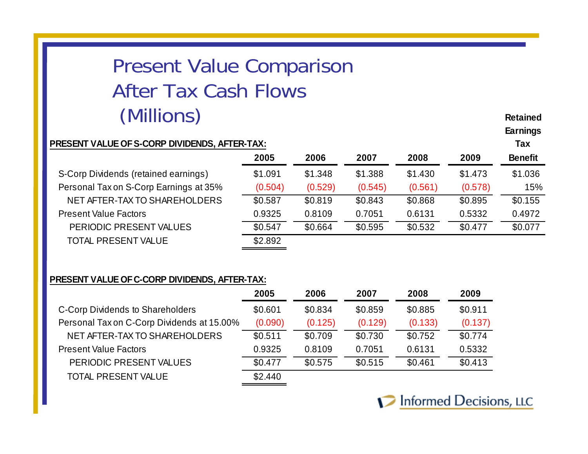# Present Value Comparison After Tax Cash Flows(Millions)

#### **PRESENT VALUE OF S-CORP DIVIDENDS, AFTER-TAX: Tax**

| 2005    | 2006    | 2007    | 2008    | 2009    | <b>Benefit</b> |
|---------|---------|---------|---------|---------|----------------|
| \$1.091 | \$1.348 | \$1.388 | \$1.430 | \$1.473 | \$1.036        |
| (0.504) | (0.529) | (0.545) | (0.561) | (0.578) | 15%            |
| \$0.587 | \$0.819 | \$0.843 | \$0.868 | \$0.895 | \$0.155        |
| 0.9325  | 0.8109  | 0.7051  | 0.6131  | 0.5332  | 0.4972         |
| \$0.547 | \$0.664 | \$0.595 | \$0.532 | \$0.477 | \$0.077        |
| \$2.892 |         |         |         |         |                |
|         |         |         |         |         |                |

#### **PRESENT VALUE OF C-CORP DIVIDENDS, AFTER-TAX:**

|                                            | 2005    | 2006    | 2007    | 2008    | 2009    |
|--------------------------------------------|---------|---------|---------|---------|---------|
| C-Corp Dividends to Shareholders           | \$0.601 | \$0.834 | \$0.859 | \$0.885 | \$0.911 |
| Personal Tax on C-Corp Dividends at 15.00% | (0.090) | (0.125) | (0.129) | (0.133) | (0.137) |
| NET AFTER-TAX TO SHAREHOLDERS              | \$0.511 | \$0.709 | \$0.730 | \$0.752 | \$0.774 |
| <b>Present Value Factors</b>               | 0.9325  | 0.8109  | 0.7051  | 0.6131  | 0.5332  |
| PERIODIC PRESENT VALUES                    | \$0.477 | \$0.575 | \$0.515 | \$0.461 | \$0.413 |
| <b>TOTAL PRESENT VALUE</b>                 | \$2.440 |         |         |         |         |
|                                            |         |         |         |         |         |



**RetainedEarnings**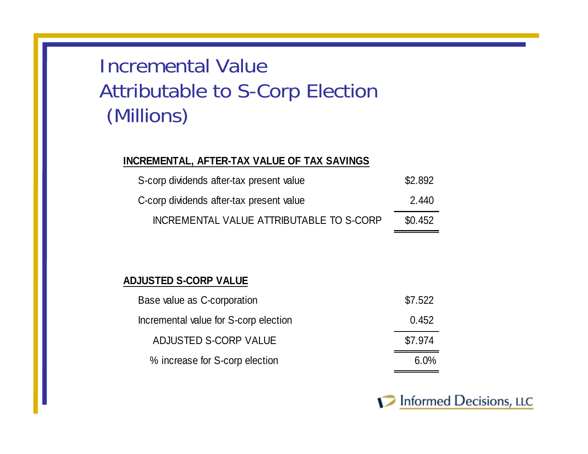# Incremental ValueAttributable to S-Corp Election (Millions)

### **INCREMENTAL, AFTER-TAX VALUE OF TAX SAVINGS**

| S-corp dividends after-tax present value | \$2.892 |
|------------------------------------------|---------|
| C-corp dividends after-tax present value | 2.440   |
| INCREMENTAL VALUE ATTRIBUTABLE TO S-CORP | \$0.452 |

### **ADJUSTED S-CORP VALUE**

| Base value as C-corporation           | \$7.522 |
|---------------------------------------|---------|
| Incremental value for S-corp election | 0.452   |
| ADJUSTED S-CORP VALUE                 | \$7.974 |
| % increase for S-corp election        | 6.0%    |